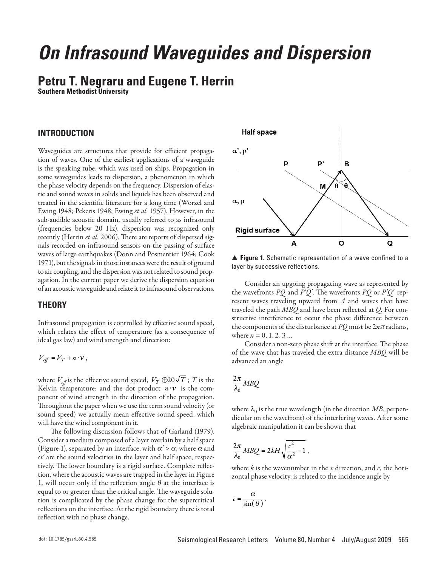# *On Infrasound Waveguides and Dispersion*

## **Petru T. Negraru and Eugene T. Herrin**

**Southern Methodist University**

#### **INTRODUCTION**

Waveguides are structures that provide for efficient propagation of waves. One of the earliest applications of a waveguide is the speaking tube, which was used on ships. Propagation in some waveguides leads to dispersion, a phenomenon in which the phase velocity depends on the frequency. Dispersion of elastic and sound waves in solids and liquids has been observed and treated in the scientific literature for a long time (Worzel and Ewing 1948; Pekeris 1948; Ewing *et al.* 1957). However, in the sub-audible acoustic domain, usually referred to as infrasound (frequencies below 20 Hz), dispersion was recognized only recently (Herrin *et al.* 2006). There are reports of dispersed signals recorded on infrasound sensors on the passing of surface waves of large earthquakes (Donn and Posmentier 1964; Cook 1971), but the signals in those instances were the result of ground to air coupling, and the dispersion was not related to sound propagation. In the current paper we derive the dispersion equation of an acoustic waveguide and relate it to infrasound observations.

#### **THEORY**

Infrasound propagation is controlled by effective sound speed, which relates the effect of temperature (as a consequence of ideal gas law) and wind strength and direction:

 $V_{\text{eff}} = V_T + n \cdot v$ ,

where  $V_{\text{eff}}$  is the effective sound speed,  $V_T$   $\oplus$  20 $\sqrt{T}$  ;  $T$  is the Kelvin temperature; and the dot product  $n \cdot v$  is the component of wind strength in the direction of the propagation. Throughout the paper when we use the term sound velocity (or sound speed) we actually mean effective sound speed, which will have the wind component in it.

The following discussion follows that of Garland (1979). Consider a medium composed of a layer overlain by a half space (Figure 1), separated by an interface, with  $\alpha' > \alpha$ , where  $\alpha$  and  $\alpha'$  are the sound velocities in the layer and half space, respectively. The lower boundary is a rigid surface. Complete reflection, where the acoustic waves are trapped in the layer in Figure 1, will occur only if the reflection angle  $\theta$  at the interface is equal to or greater than the critical angle. The waveguide solution is complicated by the phase change for the supercritical reflections on the interface. At the rigid boundary there is total reflection with no phase change.



▲ **Figure 1.** Schematic representation of a wave confined to a layer by successive reflections.

Consider an upgoing propagating wave as represented by the wavefronts *PQ* and *P*′*Q*′. The wavefronts *PQ* or *P*′*Q*′ represent waves traveling upward from *A* and waves that have traveled the path *MBQ* and have been reflected at *Q*. For constructive interference to occur the phase difference between the components of the disturbance at  $PQ$  must be  $2n\pi$  radians, where  $n = 0, 1, 2, 3...$ 

Consider a non-zero phase shift at the interface. The phase of the wave that has traveled the extra distance *MBQ* will be advanced an angle

$$
\frac{2\pi}{\lambda_0}MBQ
$$

where  $\lambda_0$  is the true wavelength (in the direction *MB*, perpendicular on the wavefront) of the interfering waves. After some algebraic manipulation it can be shown that

$$
\frac{2\pi}{\lambda_0} M B Q = 2kH \sqrt{\frac{c^2}{\alpha^2} - 1} \,,
$$

where *k* is the wavenumber in the *x* direction, and *c,* the horizontal phase velocity, is related to the incidence angle by

$$
c = \frac{\alpha}{\sin(\theta)}.
$$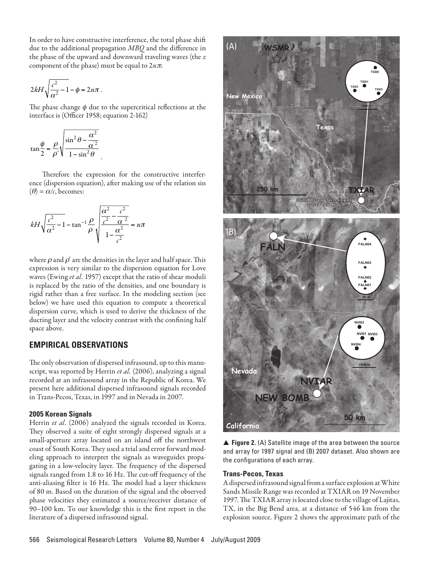In order to have constructive interference, the total phase shift due to the additional propagation *MBQ* and the difference in the phase of the upward and downward traveling waves (the *z* component of the phase) must be equal to  $2n\pi$ :

$$
2kH\sqrt{\frac{c^2}{\alpha^2}-1}-\phi=2n\pi.
$$

The phase change  $\phi$  due to the supercritical reflections at the interface is (Officer 1958; equation 2-162)

$$
\tan\frac{\phi}{2} = \frac{\rho}{\rho'} \sqrt{\frac{\sin^2\theta - \frac{\alpha^2}{\alpha'^2}}{1 - \sin^2\theta}}
$$

Therefore the expression for the constructive interference (dispersion equation), after making use of the relation sin  $(\theta) = \alpha/c$ , becomes:

$$
kH\sqrt{\frac{c^2}{\alpha^2}-1} - \tan^{-1}\frac{\rho}{\rho}\sqrt{\frac{\frac{\alpha^2}{c^2}-\frac{c^2}{\alpha^2}}{1-\frac{\alpha^2}{c^2}}} = n\pi
$$

where  $\rho$  and  $\rho'$  are the densities in the layer and half space. This expression is very similar to the dispersion equation for Love waves (Ewing *et al.* 1957) except that the ratio of shear moduli is replaced by the ratio of the densities, and one boundary is rigid rather than a free surface. In the modeling section (see below) we have used this equation to compute a theoretical dispersion curve, which is used to derive the thickness of the ducting layer and the velocity contrast with the confining half space above.

### **EMPIRICAL OBSERVATIONS**

The only observation of dispersed infrasound, up to this manuscript, was reported by Herrin *et al.* (2006), analyzing a signal recorded at an infrasound array in the Republic of Korea. We present here additional dispersed infrasound signals recorded in Trans-Pecos, Texas, in 1997 and in Nevada in 2007.

#### **2005 Korean Signals**

Herrin *et al.* (2006) analyzed the signals recorded in Korea. They observed a suite of eight strongly dispersed signals at a small-aperture array located on an island off the northwest coast of South Korea. They used a trial and error forward modeling approach to interpret the signals as waveguides propagating in a low-velocity layer. The frequency of the dispersed signals ranged from 1.8 to 16 Hz. The cut-off frequency of the anti-aliasing filter is 16 Hz. The model had a layer thickness of 80 m. Based on the duration of the signal and the observed phase velocities they estimated a source/receiver distance of 90–100 km. To our knowledge this is the first report in the literature of a dispersed infrasound signal.



▲ **Figure 2.** (A) Satellite image of the area between the source and array for 1997 signal and (B) 2007 dataset. Also shown are the configurations of each array.

#### **Trans-Pecos, Texas**

A dispersed infrasound signal from a surface explosion at White Sands Missile Range was recorded at TXIAR on 19 November 1997. The TXIAR array is located close to the village of Lajitas, TX, in the Big Bend area, at a distance of 546 km from the explosion source. Figure 2 shows the approximate path of the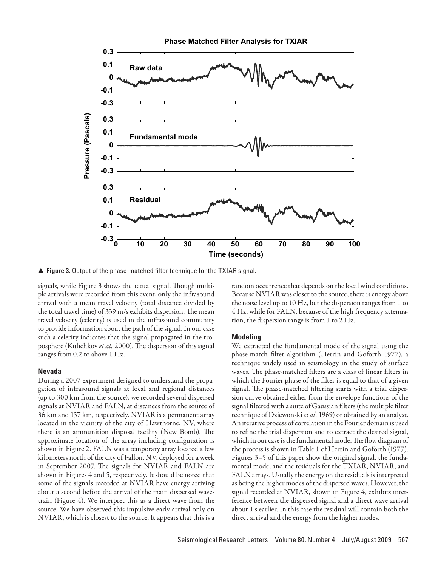

▲ **Figure 3.** Output of the phase-matched filter technique for the TXIAR signal.

signals, while Figure 3 shows the actual signal. Though multiple arrivals were recorded from this event, only the infrasound arrival with a mean travel velocity (total distance divided by the total travel time) of 339 m/s exhibits dispersion. The mean travel velocity (celerity) is used in the infrasound community to provide information about the path of the signal. In our case such a celerity indicates that the signal propagated in the troposphere (Kulichkov *et al.* 2000). The dispersion of this signal ranges from 0.2 to above 1 Hz.

#### **Nevada**

During a 2007 experiment designed to understand the propagation of infrasound signals at local and regional distances (up to 300 km from the source), we recorded several dispersed signals at NVIAR and FALN, at distances from the source of 36 km and 157 km, respectively. NVIAR is a permanent array located in the vicinity of the city of Hawthorne, NV, where there is an ammunition disposal facility (New Bomb). The approximate location of the array including configuration is shown in Figure 2. FALN was a temporary array located a few kilometers north of the city of Fallon, NV, deployed for a week in September 2007. The signals for NVIAR and FALN are shown in Figures 4 and 5, respectively. It should be noted that some of the signals recorded at NVIAR have energy arriving about a second before the arrival of the main dispersed wavetrain (Figure 4). We interpret this as a direct wave from the source. We have observed this impulsive early arrival only on NVIAR, which is closest to the source. It appears that this is a

random occurrence that depends on the local wind conditions. Because NVIAR was closer to the source, there is energy above the noise level up to 10 Hz, but the dispersion ranges from 1 to 4 Hz, while for FALN, because of the high frequency attenuation, the dispersion range is from 1 to 2 Hz.

#### **Modeling**

We extracted the fundamental mode of the signal using the phase-match filter algorithm (Herrin and Goforth 1977), a technique widely used in seismology in the study of surface waves. The phase-matched filters are a class of linear filters in which the Fourier phase of the filter is equal to that of a given signal. The phase-matched filtering starts with a trial dispersion curve obtained either from the envelope functions of the signal filtered with a suite of Gaussian filters (the multiple filter technique of Dziewonski *et al.* 1969) or obtained by an analyst. An iterative process of correlation in the Fourier domain is used to refine the trial dispersion and to extract the desired signal, which in our case is the fundamental mode. The flow diagram of the process is shown in Table 1 of Herrin and Goforth (1977). Figures 3–5 of this paper show the original signal, the fundamental mode, and the residuals for the TXIAR, NVIAR, and FALN arrays. Usually the energy on the residuals is interpreted as being the higher modes of the dispersed waves. However, the signal recorded at NVIAR, shown in Figure 4, exhibits interference between the dispersed signal and a direct wave arrival about 1 s earlier. In this case the residual will contain both the direct arrival and the energy from the higher modes.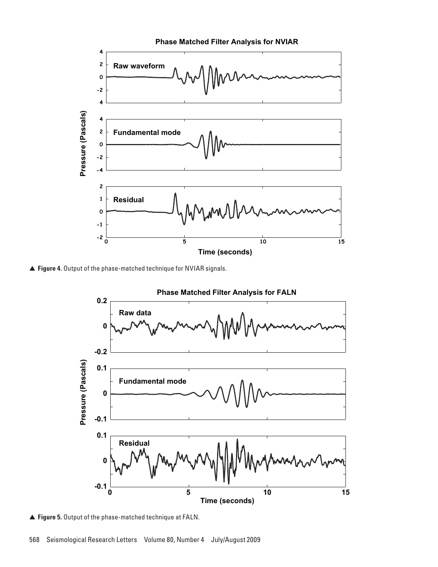

▲ **Figure 4.** Output of the phase-matched technique for NVIAR signals.



▲ **Figure 5.** Output of the phase-matched technique at FALN.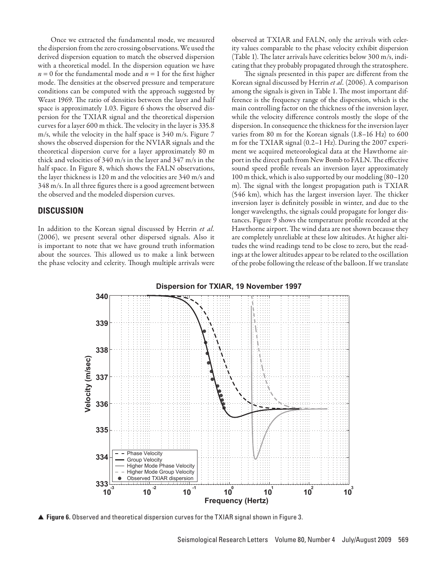Once we extracted the fundamental mode, we measured the dispersion from the zero crossing observations. We used the derived dispersion equation to match the observed dispersion with a theoretical model. In the dispersion equation we have  $n = 0$  for the fundamental mode and  $n = 1$  for the first higher mode. The densities at the observed pressure and temperature conditions can be computed with the approach suggested by Weast 1969. The ratio of densities between the layer and half space is approximately 1.03. Figure 6 shows the observed dispersion for the TXIAR signal and the theoretical dispersion curves for a layer 600 m thick. The velocity in the layer is 335.8 m/s, while the velocity in the half space is 340 m/s. Figure 7 shows the observed dispersion for the NVIAR signals and the theoretical dispersion curve for a layer approximately 80 m thick and velocities of 340 m/s in the layer and 347 m/s in the half space. In Figure 8, which shows the FALN observations, the layer thickness is 120 m and the velocities are 340 m/s and 348 m/s. In all three figures there is a good agreement between the observed and the modeled dispersion curves.

#### **DISCUSSION**

In addition to the Korean signal discussed by Herrin *et al.* (2006), we present several other dispersed signals. Also it is important to note that we have ground truth information about the sources. This allowed us to make a link between the phase velocity and celerity. Though multiple arrivals were observed at TXIAR and FALN, only the arrivals with celerity values comparable to the phase velocity exhibit dispersion (Table 1). The later arrivals have celerities below 300 m/s, indicating that they probably propagated through the stratosphere.

The signals presented in this paper are different from the Korean signal discussed by Herrin *et al.* (2006). A comparison among the signals is given in Table 1. The most important difference is the frequency range of the dispersion, which is the main controlling factor on the thickness of the inversion layer, while the velocity difference controls mostly the slope of the dispersion. In consequence the thickness for the inversion layer varies from 80 m for the Korean signals (1.8–16 Hz) to 600 m for the TXIAR signal (0.2–1 Hz). During the 2007 experiment we acquired meteorological data at the Hawthorne airport in the direct path from New Bomb to FALN. The effective sound speed profile reveals an inversion layer approximately 100 m thick, which is also supported by our modeling (80–120 m). The signal with the longest propagation path is TXIAR (546 km), which has the largest inversion layer. The thicker inversion layer is definitely possible in winter, and due to the longer wavelengths, the signals could propagate for longer distances. Figure 9 shows the temperature profile recorded at the Hawthorne airport. The wind data are not shown because they are completely unreliable at these low altitudes. At higher altitudes the wind readings tend to be close to zero, but the readings at the lower altitudes appear to be related to the oscillation of the probe following the release of the balloon. If we translate



▲ **Figure 6.** Observed and theoretical dispersion curves for the TXIAR signal shown in Figure 3.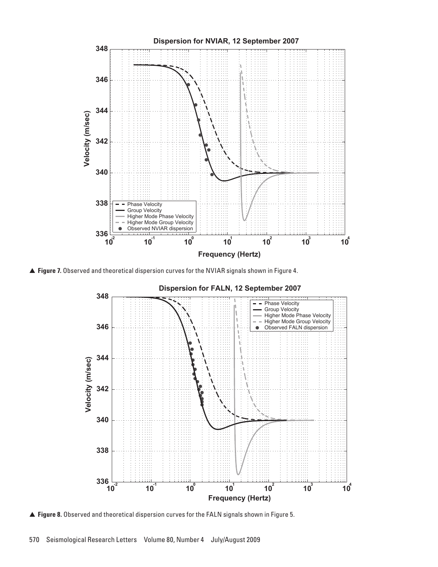

▲ **Figure 7.** Observed and theoretical dispersion curves for the NVIAR signals shown in Figure 4.



▲ **Figure 8.** Observed and theoretical dispersion curves for the FALN signals shown in Figure 5.